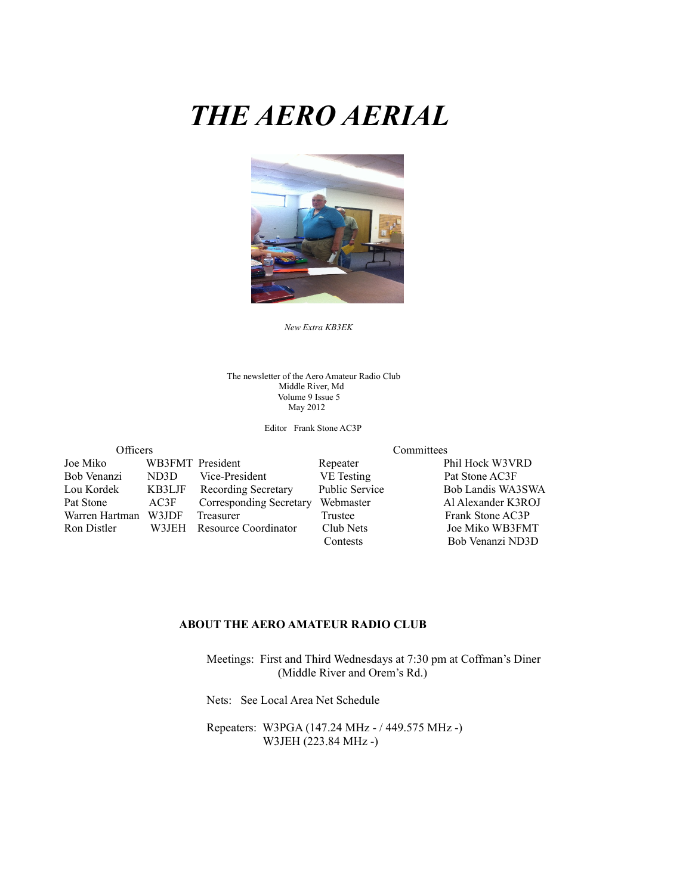# *THE AERO AERIAL*



The newsletter of the Aero Amateur Radio Club Middle River, Md Volume 9 Issue 5 May 2012

Editor Frank Stone AC3P

| <b>Officers</b> |                  |                         | Committees     |                    |  |  |
|-----------------|------------------|-------------------------|----------------|--------------------|--|--|
| Joe Miko        | WB3FMT President |                         | Repeater       | Phil Hock W3VRD    |  |  |
| Bob Venanzi     | ND3D             | Vice-President          | VE Testing     | Pat Stone AC3F     |  |  |
| Lou Kordek      | KB3LJF           | Recording Secretary     | Public Service | Bob Landis WA3SWA  |  |  |
| Pat Stone       | AC3F             | Corresponding Secretary | Webmaster      | Al Alexander K3ROJ |  |  |
| Warren Hartman  | W3JDF            | Treasurer               | Trustee        | Frank Stone AC3P   |  |  |
| Ron Distler     | W3JEH            | Resource Coordinator    | Club Nets      | Joe Miko WB3FMT    |  |  |
|                 |                  |                         | Contests       | Bob Venanzi ND3D   |  |  |

#### **ABOUT THE AERO AMATEUR RADIO CLUB**

 Meetings: First and Third Wednesdays at 7:30 pm at Coffman's Diner (Middle River and Orem's Rd.)

Nets: See Local Area Net Schedule

 Repeaters: W3PGA (147.24 MHz - / 449.575 MHz -) W3JEH (223.84 MHz -)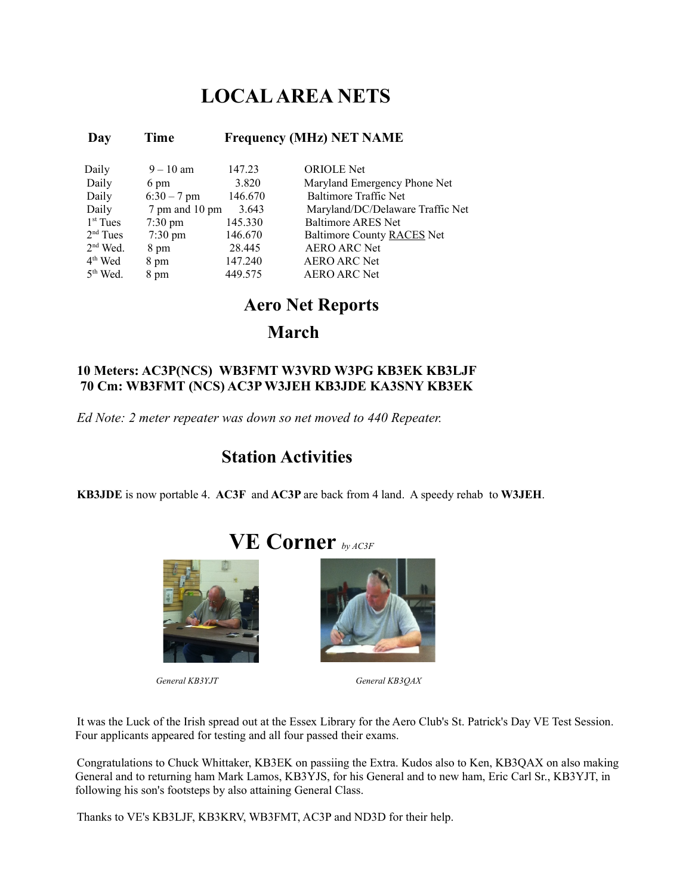## **LOCAL AREA NETS**

| Day                  | Time              | <b>Frequency (MHz) NET NAME</b> |                                  |  |  |
|----------------------|-------------------|---------------------------------|----------------------------------|--|--|
| Daily                | $9 - 10$ am       | 147.23                          | <b>ORIOLE</b> Net                |  |  |
| Daily                | 6 pm              | 3.820                           | Maryland Emergency Phone Net     |  |  |
| Daily                | $6:30 - 7$ pm     | 146.670                         | Baltimore Traffic Net            |  |  |
| Daily                | 7 pm and 10 pm    | 3.643                           | Maryland/DC/Delaware Traffic Net |  |  |
| 1 <sup>st</sup> Tues | $7:30 \text{ pm}$ | 145.330                         | <b>Baltimore ARES Net</b>        |  |  |
| $2nd$ Tues           | $7:30 \text{ pm}$ | 146.670                         | Baltimore County RACES Net       |  |  |
| $2nd$ Wed.           | 8 pm              | 28.445                          | <b>AERO ARC Net</b>              |  |  |
| 4 <sup>th</sup> Wed  | 8 pm              | 147.240                         | <b>AERO ARC Net</b>              |  |  |
| $5th$ Wed.           | 8 pm              | 449.575                         | <b>AERO ARC Net</b>              |  |  |

## **Aero Net Reports**

**March**

#### **10 Meters: AC3P(NCS) WB3FMT W3VRD W3PG KB3EK KB3LJF 70 Cm: WB3FMT (NCS) AC3P W3JEH KB3JDE KA3SNY KB3EK**

*Ed Note: 2 meter repeater was down so net moved to 440 Repeater.* 

## **Station Activities**

**KB3JDE** is now portable 4. **AC3F** and **AC3P** are back from 4 land. A speedy rehab to **W3JEH**.

 **VE Corner** *by AC3F*





 *General KB3YJT General KB3QAX*

It was the Luck of the Irish spread out at the Essex Library for the Aero Club's St. Patrick's Day VE Test Session. Four applicants appeared for testing and all four passed their exams.

Congratulations to Chuck Whittaker, KB3EK on passiing the Extra. Kudos also to Ken, KB3QAX on also making General and to returning ham Mark Lamos, KB3YJS, for his General and to new ham, Eric Carl Sr., KB3YJT, in following his son's footsteps by also attaining General Class.

Thanks to VE's KB3LJF, KB3KRV, WB3FMT, AC3P and ND3D for their help.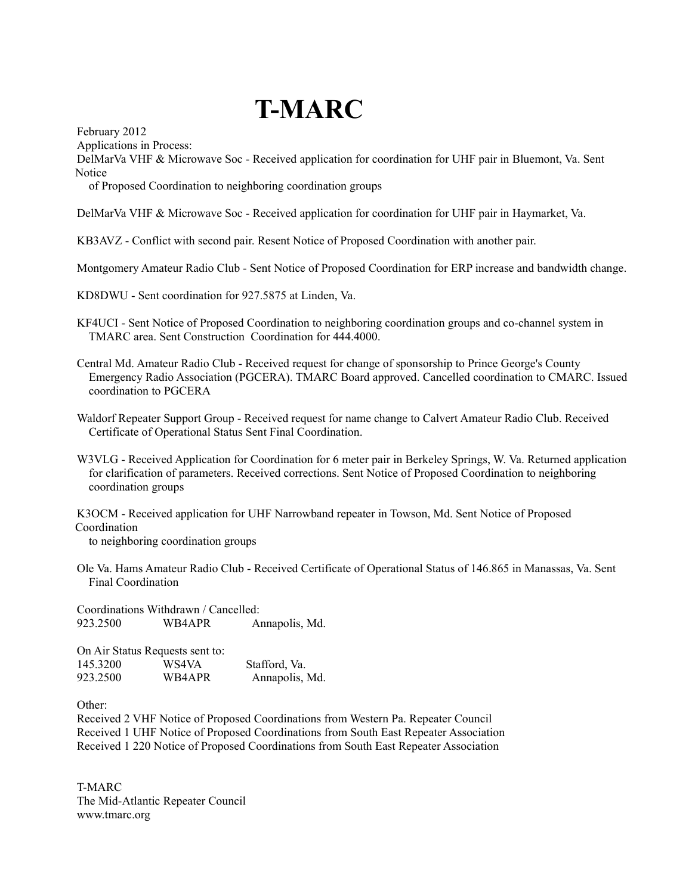# **T-MARC**

February 2012

Applications in Process:

DelMarVa VHF & Microwave Soc - Received application for coordination for UHF pair in Bluemont, Va. Sent Notice

of Proposed Coordination to neighboring coordination groups

DelMarVa VHF & Microwave Soc - Received application for coordination for UHF pair in Haymarket, Va.

KB3AVZ - Conflict with second pair. Resent Notice of Proposed Coordination with another pair.

Montgomery Amateur Radio Club - Sent Notice of Proposed Coordination for ERP increase and bandwidth change.

KD8DWU - Sent coordination for 927.5875 at Linden, Va.

KF4UCI - Sent Notice of Proposed Coordination to neighboring coordination groups and co-channel system in TMARC area. Sent Construction Coordination for 444.4000.

Central Md. Amateur Radio Club - Received request for change of sponsorship to Prince George's County Emergency Radio Association (PGCERA). TMARC Board approved. Cancelled coordination to CMARC. Issued coordination to PGCERA

Waldorf Repeater Support Group - Received request for name change to Calvert Amateur Radio Club. Received Certificate of Operational Status Sent Final Coordination.

W3VLG - Received Application for Coordination for 6 meter pair in Berkeley Springs, W. Va. Returned application for clarification of parameters. Received corrections. Sent Notice of Proposed Coordination to neighboring coordination groups

K3OCM - Received application for UHF Narrowband repeater in Towson, Md. Sent Notice of Proposed Coordination

to neighboring coordination groups

Ole Va. Hams Amateur Radio Club - Received Certificate of Operational Status of 146.865 in Manassas, Va. Sent Final Coordination

Coordinations Withdrawn / Cancelled: 923.2500 WB4APR Annapolis, Md.

On Air Status Requests sent to: 145.3200 WS4VA Stafford, Va. 923.2500 WB4APR Annapolis, Md.

Other:

Received 2 VHF Notice of Proposed Coordinations from Western Pa. Repeater Council Received 1 UHF Notice of Proposed Coordinations from South East Repeater Association Received 1 220 Notice of Proposed Coordinations from South East Repeater Association

T-MARC The Mid-Atlantic Repeater Council www.tmarc.org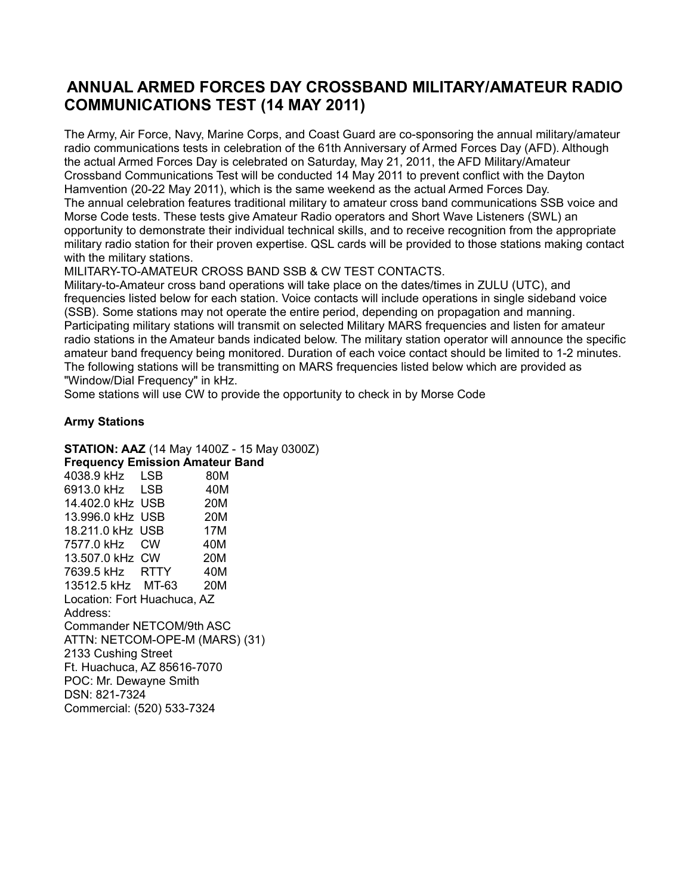### **ANNUAL ARMED FORCES DAY CROSSBAND MILITARY/AMATEUR RADIO COMMUNICATIONS TEST (14 MAY 2011)**

The Army, Air Force, Navy, Marine Corps, and Coast Guard are co-sponsoring the annual military/amateur radio communications tests in celebration of the 61th Anniversary of Armed Forces Day (AFD). Although the actual Armed Forces Day is celebrated on Saturday, May 21, 2011, the AFD Military/Amateur Crossband Communications Test will be conducted 14 May 2011 to prevent conflict with the Dayton Hamvention (20-22 May 2011), which is the same weekend as the actual Armed Forces Day. The annual celebration features traditional military to amateur cross band communications SSB voice and Morse Code tests. These tests give Amateur Radio operators and Short Wave Listeners (SWL) an opportunity to demonstrate their individual technical skills, and to receive recognition from the appropriate military radio station for their proven expertise. QSL cards will be provided to those stations making contact with the military stations.

MILITARY-TO-AMATEUR CROSS BAND SSB & CW TEST CONTACTS.

Military-to-Amateur cross band operations will take place on the dates/times in ZULU (UTC), and frequencies listed below for each station. Voice contacts will include operations in single sideband voice (SSB). Some stations may not operate the entire period, depending on propagation and manning. Participating military stations will transmit on selected Military MARS frequencies and listen for amateur radio stations in the Amateur bands indicated below. The military station operator will announce the specific amateur band frequency being monitored. Duration of each voice contact should be limited to 1-2 minutes. The following stations will be transmitting on MARS frequencies listed below which are provided as "Window/Dial Frequency" in kHz.

Some stations will use CW to provide the opportunity to check in by Morse Code

#### **Army Stations**

**STATION: AAZ** (14 May 1400Z - 15 May 0300Z)

**Frequency Emission Amateur Band**  4038.9 kHz LSB 80M 6913.0 kHz LSB 40M 14.402.0 kHz USB 20M 13.996.0 kHz USB 20M 18.211.0 kHz USB 17M 7577.0 kHz CW 40M 13.507.0 kHz CW 20M 7639.5 kHz RTTY 40M 13512.5 kHz MT-63 20M Location: Fort Huachuca, AZ Address: Commander NETCOM/9th ASC ATTN: NETCOM-OPE-M (MARS) (31) 2133 Cushing Street Ft. Huachuca, AZ 85616-7070 POC: Mr. Dewayne Smith DSN: 821-7324 Commercial: (520) 533-7324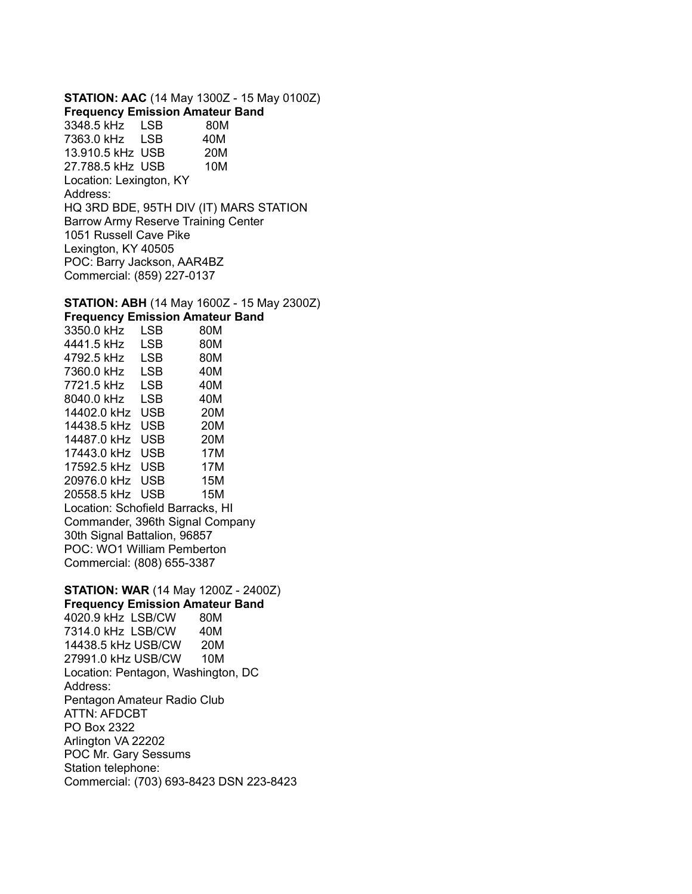**STATION: AAC** (14 May 1300Z - 15 May 0100Z) **Frequency Emission Amateur Band**  3348.5 kHz LSB 80M 7363.0 kHz LSB 40M 13.910.5 kHz USB 20M 27.788.5 kHz USB 10M Location: Lexington, KY Address: HQ 3RD BDE, 95TH DIV (IT) MARS STATION Barrow Army Reserve Training Center 1051 Russell Cave Pike Lexington, KY 40505 POC: Barry Jackson, AAR4BZ Commercial: (859) 227-0137

#### **STATION: ABH** (14 May 1600Z - 15 May 2300Z) **Frequency Emission Amateur Band**

3350.0 kHz LSB 80M 4441.5 kHz LSB 80M 4792.5 kHz LSB 80M 7360.0 kHz LSB 40M 7721.5 kHz LSB 40M 8040.0 kHz LSB 40M 14402.0 kHz USB 20M 14438.5 kHz USB 20M 14487.0 kHz USB 20M 17443.0 kHz USB 17M 17592.5 kHz USB 17M 20976.0 kHz USB 15M 20558.5 kHz USB 15M Location: Schofield Barracks, HI Commander, 396th Signal Company 30th Signal Battalion, 96857 POC: WO1 William Pemberton Commercial: (808) 655-3387

**STATION: WAR** (14 May 1200Z - 2400Z) **Frequency Emission Amateur Band**  4020.9 kHz LSB/CW 80M 7314.0 kHz LSB/CW 40M 14438.5 kHz USB/CW 20M 27991.0 kHz USB/CW 10M Location: Pentagon, Washington, DC Address: Pentagon Amateur Radio Club ATTN: AFDCBT PO Box 2322 Arlington VA 22202 POC Mr. Gary Sessums Station telephone: Commercial: (703) 693-8423 DSN 223-8423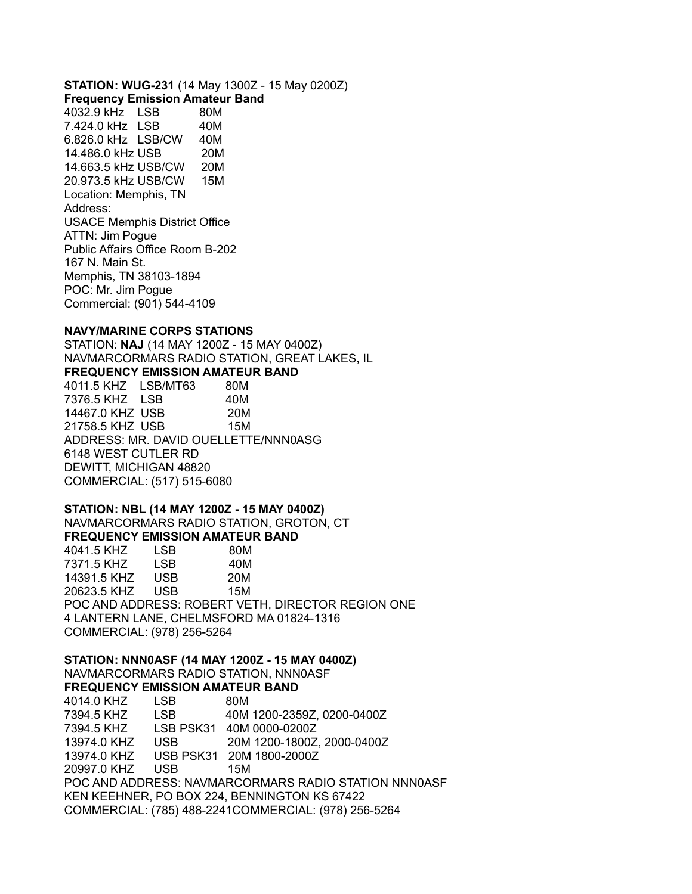**STATION: WUG-231** (14 May 1300Z - 15 May 0200Z)

**Frequency Emission Amateur Band** 

4032.9 kHz LSB 80M 7.424.0 kHz LSB 40M 6.826.0 kHz LSB/CW 40M 14.486.0 kHz USB 20M 14.663.5 kHz USB/CW 20M 20.973.5 kHz USB/CW 15M Location: Memphis, TN Address: USACE Memphis District Office ATTN: Jim Pogue Public Affairs Office Room B-202 167 N. Main St. Memphis, TN 38103-1894 POC: Mr. Jim Pogue Commercial: (901) 544-4109

#### **NAVY/MARINE CORPS STATIONS**

STATION: **NAJ** (14 MAY 1200Z - 15 MAY 0400Z) NAVMARCORMARS RADIO STATION, GREAT LAKES, IL **FREQUENCY EMISSION AMATEUR BAND**  4011.5 KHZ LSB/MT63 80M 7376.5 KHZ LSB 40M 14467.0 KHZ USB 20M 21758.5 KHZ USB 15M ADDRESS: MR. DAVID OUELLETTE/NNN0ASG 6148 WEST CUTLER RD DEWITT, MICHIGAN 48820 COMMERCIAL: (517) 515-6080

**STATION: NBL (14 MAY 1200Z - 15 MAY 0400Z)**  NAVMARCORMARS RADIO STATION, GROTON, CT **FREQUENCY EMISSION AMATEUR BAND**  4041.5 KHZ LSB 80M 7371.5 KHZ LSB 40M 14391.5 KHZ USB 20M 20623.5 KHZ USB 15M POC AND ADDRESS: ROBERT VETH, DIRECTOR REGION ONE 4 LANTERN LANE, CHELMSFORD MA 01824-1316

COMMERCIAL: (978) 256-5264

**STATION: NNN0ASF (14 MAY 1200Z - 15 MAY 0400Z)**  NAVMARCORMARS RADIO STATION, NNN0ASF

**FREQUENCY EMISSION AMATEUR BAND**  4014.0 KHZ LSB 80M 7394.5 KHZ LSB 40M 1200-2359Z, 0200-0400Z 7394.5 KHZ LSB PSK31 40M 0000-0200Z 13974.0 KHZ USB 20M 1200-1800Z, 2000-0400Z 13974.0 KHZ USB PSK31 20M 1800-2000Z 20997.0 KHZ USB 15M POC AND ADDRESS: NAVMARCORMARS RADIO STATION NNN0ASF KEN KEEHNER, PO BOX 224, BENNINGTON KS 67422 COMMERCIAL: (785) 488-2241COMMERCIAL: (978) 256-5264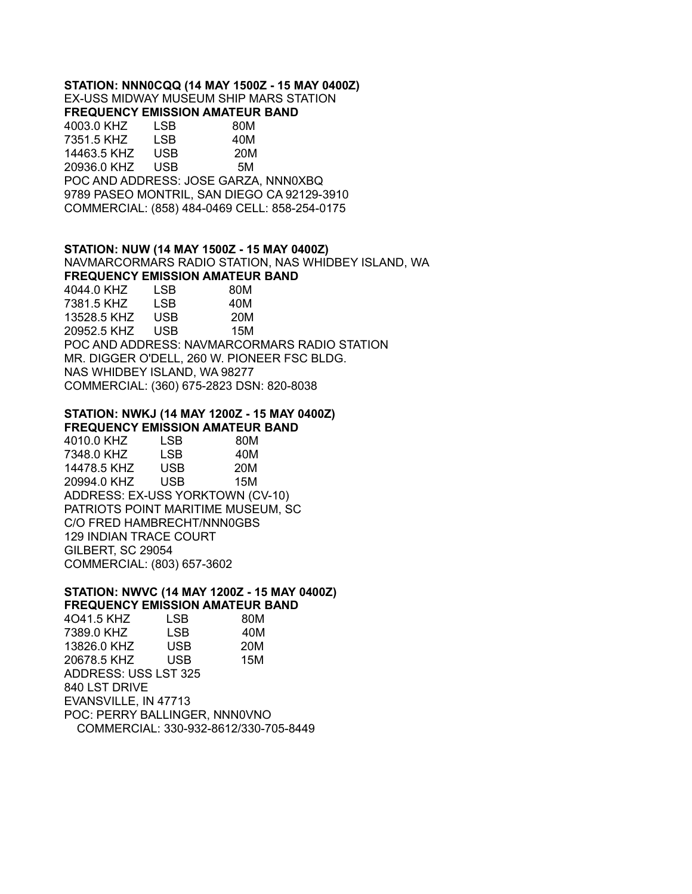#### **STATION: NNN0CQQ (14 MAY 1500Z - 15 MAY 0400Z)**

EX-USS MIDWAY MUSEUM SHIP MARS STATION **FREQUENCY EMISSION AMATEUR BAND** 

4003.0 KHZ LSB 80M 7351.5 KHZ LSB 40M 14463.5 KHZ USB 20M 20936.0 KHZ USB 5M POC AND ADDRESS: JOSE GARZA, NNN0XBQ 9789 PASEO MONTRIL, SAN DIEGO CA 92129-3910 COMMERCIAL: (858) 484-0469 CELL: 858-254-0175

#### **STATION: NUW (14 MAY 1500Z - 15 MAY 0400Z)**

NAVMARCORMARS RADIO STATION, NAS WHIDBEY ISLAND, WA

**FREQUENCY EMISSION AMATEUR BAND**  4044.0 KHZ LSB 80M 7381.5 KHZ LSB 40M 13528.5 KHZ USB 20M 20952.5 KHZ USB 15M POC AND ADDRESS: NAVMARCORMARS RADIO STATION MR. DIGGER O'DELL, 260 W. PIONEER FSC BLDG. NAS WHIDBEY ISLAND, WA 98277 COMMERCIAL: (360) 675-2823 DSN: 820-8038

#### **STATION: NWKJ (14 MAY 1200Z - 15 MAY 0400Z)**

**FREQUENCY EMISSION AMATEUR BAND** 

4010.0 KHZ LSB 80M 7348.0 KHZ LSB 40M 14478.5 KHZ USB 20M 20994.0 KHZ USB 15M ADDRESS: EX-USS YORKTOWN (CV-10) PATRIOTS POINT MARITIME MUSEUM, SC C/O FRED HAMBRECHT/NNN0GBS 129 INDIAN TRACE COURT GILBERT, SC 29054 COMMERCIAL: (803) 657-3602

#### **STATION: NWVC (14 MAY 1200Z - 15 MAY 0400Z) FREQUENCY EMISSION AMATEUR BAND**

4O41.5 KHZ LSB 80M 7389.0 KHZ LSB 40M 13826.0 KHZ USB 20M 20678.5 KHZ USB 15M ADDRESS: USS LST 325 840 LST DRIVE EVANSVILLE, IN 47713 POC: PERRY BALLINGER, NNN0VNO COMMERCIAL: 330-932-8612/330-705-8449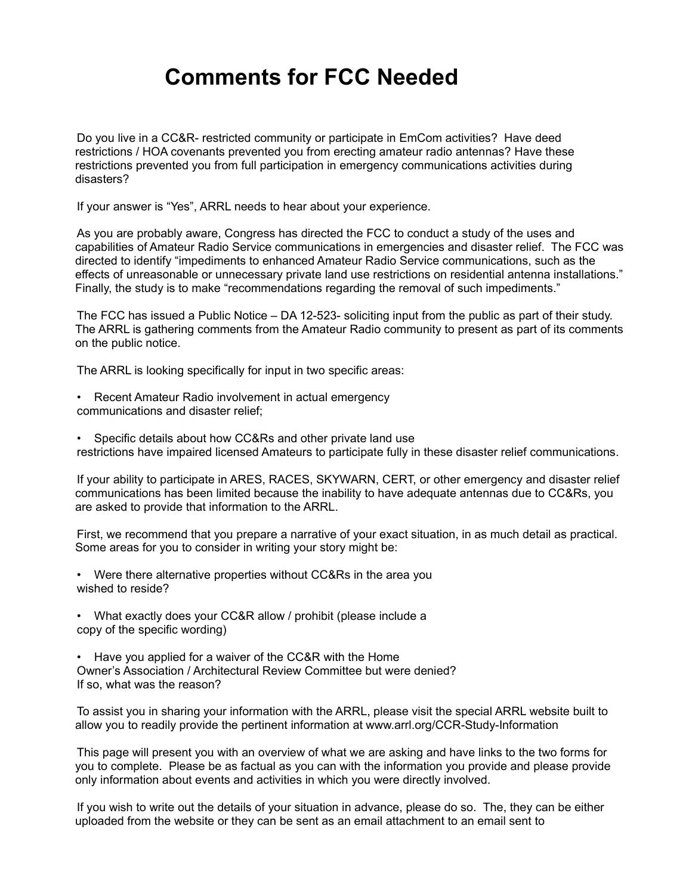## **Comments for FCC Needed**

Do you live in a CC&R- restricted community or participate in EmCom activities? Have deed restrictions / HOA covenants prevented you from erecting amateur radio antennas? Have these restrictions prevented you from full participation in emergency communications activities during disasters?

If your answer is "Yes", ARRL needs to hear about your experience.

As you are probably aware, Congress has directed the FCC to conduct a study of the uses and capabilities of Amateur Radio Service communications in emergencies and disaster relief. The FCC was directed to identify "impediments to enhanced Amateur Radio Service communications, such as the effects of unreasonable or unnecessary private land use restrictions on residential antenna installations." Finally, the study is to make "recommendations regarding the removal of such impediments."

The FCC has issued a Public Notice – DA 12-523- soliciting input from the public as part of their study. The ARRL is gathering comments from the Amateur Radio community to present as part of its comments on the public notice.

The ARRL is looking specifically for input in two specific areas:

- Recent Amateur Radio involvement in actual emergency communications and disaster relief;
- Specific details about how CC&Rs and other private land use restrictions have impaired licensed Amateurs to participate fully in these disaster relief communications.

If your ability to participate in ARES, RACES, SKYWARN, CERT, or other emergency and disaster relief communications has been limited because the inability to have adequate antennas due to CC&Rs, you are asked to provide that information to the ARRL.

First, we recommend that you prepare a narrative of your exact situation, in as much detail as practical. Some areas for you to consider in writing your story might be:

- Were there alternative properties without CC&Rs in the area you wished to reside?
- What exactly does your CC&R allow / prohibit (please include a copy of the specific wording)
- Have you applied for a waiver of the CC&R with the Home Owner's Association / Architectural Review Committee but were denied? If so, what was the reason?

To assist you in sharing your information with the ARRL, please visit the special ARRL website built to allow you to readily provide the pertinent information at www.arrl.org/CCR-Study-Information

This page will present you with an overview of what we are asking and have links to the two forms for you to complete. Please be as factual as you can with the information you provide and please provide only information about events and activities in which you were directly involved.

If you wish to write out the details of your situation in advance, please do so. The, they can be either uploaded from the website or they can be sent as an email attachment to an email sent to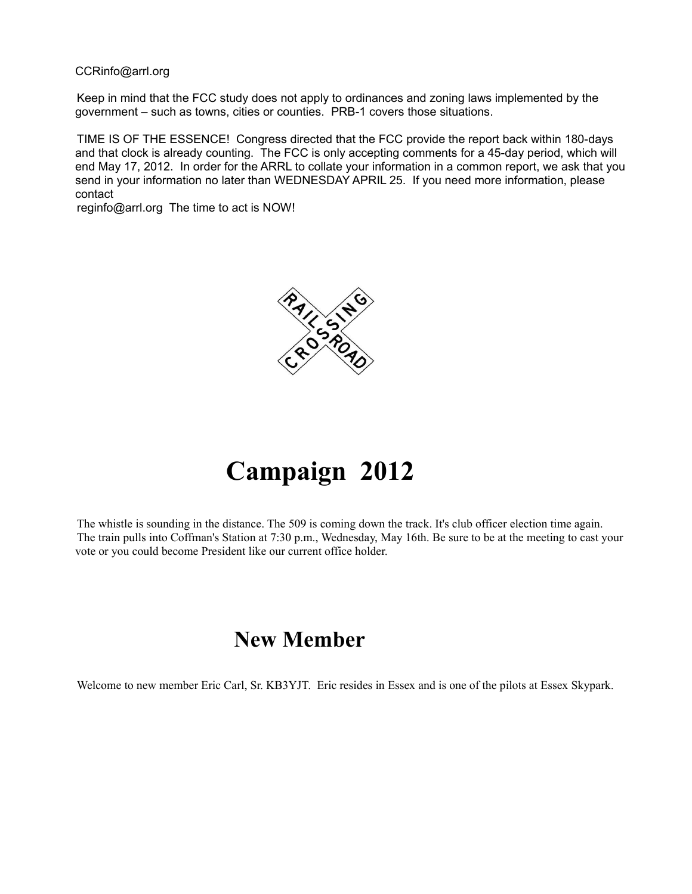#### CCRinfo@arrl.org

Keep in mind that the FCC study does not apply to ordinances and zoning laws implemented by the government – such as towns, cities or counties. PRB-1 covers those situations.

TIME IS OF THE ESSENCE! Congress directed that the FCC provide the report back within 180-days and that clock is already counting. The FCC is only accepting comments for a 45-day period, which will end May 17, 2012. In order for the ARRL to collate your information in a common report, we ask that you send in your information no later than WEDNESDAY APRIL 25. If you need more information, please contact

reginfo@arrl.org The time to act is NOW!



# **Campaign 2012**

The whistle is sounding in the distance. The 509 is coming down the track. It's club officer election time again. The train pulls into Coffman's Station at 7:30 p.m., Wednesday, May 16th. Be sure to be at the meeting to cast your vote or you could become President like our current office holder.

## **New Member**

Welcome to new member Eric Carl, Sr. KB3YJT. Eric resides in Essex and is one of the pilots at Essex Skypark.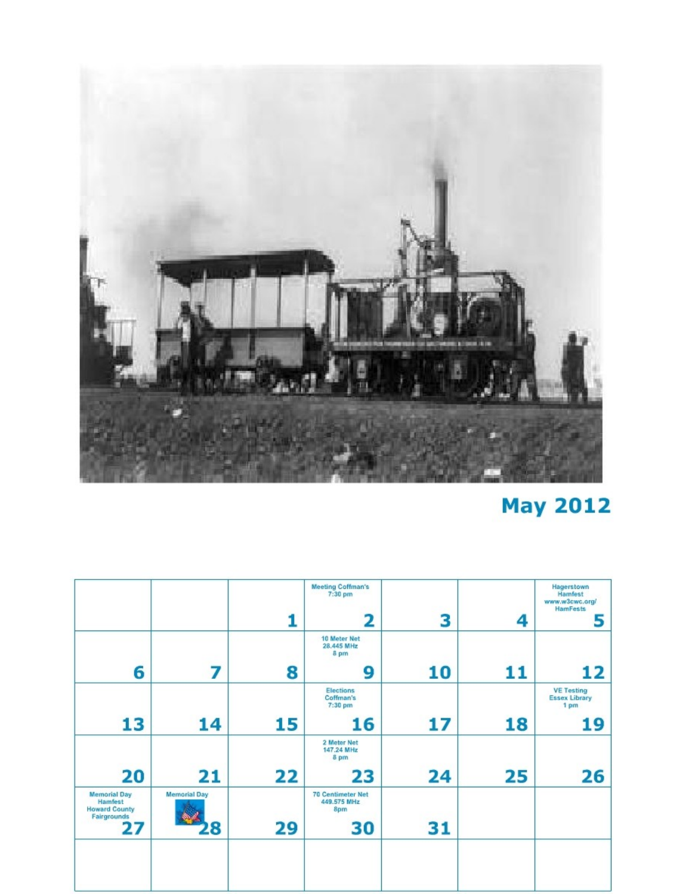

# **May 2012**

|                                                                       |                     |    | <b>Meeting Coffman's</b><br>7:30 pm<br>2       | 3  | 4  | Hagerstown<br>Hamfest<br>www.w3cwc.org/<br><b>HamFests</b><br>5 |
|-----------------------------------------------------------------------|---------------------|----|------------------------------------------------|----|----|-----------------------------------------------------------------|
| 6                                                                     | 7                   | 8  | 10 Meter Net<br>28.445 MHz<br>8 pm<br>9        | 10 | 11 | 12                                                              |
|                                                                       |                     |    | Elections<br>Coffman's<br>7:30 pm              |    |    | <b>VE Testing</b><br><b>Essex Library</b><br>1 pm               |
| 13                                                                    | 14                  | 15 | 16                                             | 17 | 18 | 19                                                              |
|                                                                       |                     |    | 2 Meter Net<br>147.24 MHz<br>8 pm              |    |    |                                                                 |
| 20                                                                    | 21                  | 22 | 23                                             | 24 | 25 | 26                                                              |
| <b>Memorial Day</b><br>Hamfest<br><b>Howard County</b><br>Fairgrounds | <b>Memorial Day</b> |    | <b>70 Centimeter Net</b><br>449.575 MHz<br>8pm |    |    |                                                                 |
| 27                                                                    | 8                   | 29 | 30                                             | 31 |    |                                                                 |
|                                                                       |                     |    |                                                |    |    |                                                                 |